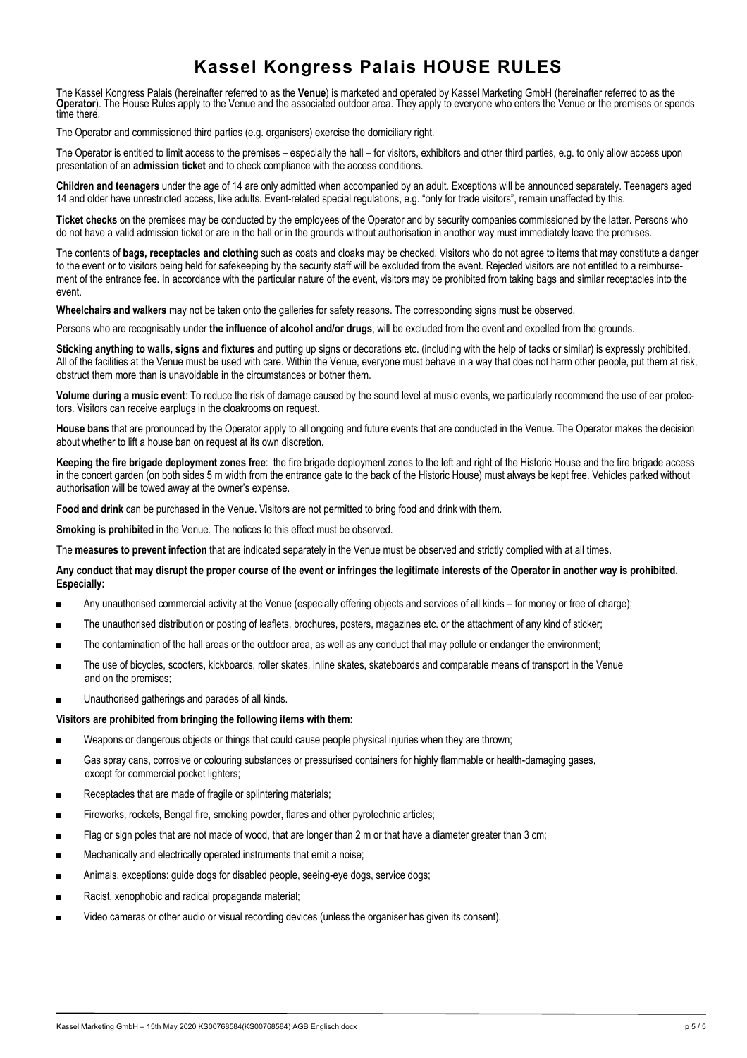### **Kassel Kongress Palais HOUSE RULES**

The Kassel Kongress Palais (hereinafter referred to as the **Venue**) is marketed and operated by Kassel Marketing GmbH (hereinafter referred to as the **Operator**). The House Rules apply to the Venue and the associated outdoor area. They apply to everyone who enters the Venue or the premises or spends time there

The Operator and commissioned third parties (e.g. organisers) exercise the domiciliary right.

The Operator is entitled to limit access to the premises – especially the hall – for visitors, exhibitors and other third parties, e.g. to only allow access upon presentation of an **admission ticket** and to check compliance with the access conditions.

**Children and teenagers** under the age of 14 are only admitted when accompanied by an adult. Exceptions will be announced separately. Teenagers aged 14 and older have unrestricted access, like adults. Event-related special regulations, e.g. "only for trade visitors", remain unaffected by this.

**Ticket checks** on the premises may be conducted by the employees of the Operator and by security companies commissioned by the latter. Persons who do not have a valid admission ticket or are in the hall or in the grounds without authorisation in another way must immediately leave the premises.

The contents of **bags, receptacles and clothing** such as coats and cloaks may be checked. Visitors who do not agree to items that may constitute a danger to the event or to visitors being held for safekeeping by the security staff will be excluded from the event. Rejected visitors are not entitled to a reimbursement of the entrance fee. In accordance with the particular nature of the event, visitors may be prohibited from taking bags and similar receptacles into the event.

**Wheelchairs and walkers** may not be taken onto the galleries for safety reasons. The corresponding signs must be observed.

Persons who are recognisably under **the influence of alcohol and/or drugs**, will be excluded from the event and expelled from the grounds.

**Sticking anything to walls, signs and fixtures** and putting up signs or decorations etc. (including with the help of tacks or similar) is expressly prohibited. All of the facilities at the Venue must be used with care. Within the Venue, everyone must behave in a way that does not harm other people, put them at risk, obstruct them more than is unavoidable in the circumstances or bother them.

**Volume during a music event**: To reduce the risk of damage caused by the sound level at music events, we particularly recommend the use of ear protectors. Visitors can receive earplugs in the cloakrooms on request.

**House bans** that are pronounced by the Operator apply to all ongoing and future events that are conducted in the Venue. The Operator makes the decision about whether to lift a house ban on request at its own discretion.

**Keeping the fire brigade deployment zones free**: the fire brigade deployment zones to the left and right of the Historic House and the fire brigade access in the concert garden (on both sides 5 m width from the entrance gate to the back of the Historic House) must always be kept free. Vehicles parked without authorisation will be towed away at the owner's expense.

**Food and drink** can be purchased in the Venue. Visitors are not permitted to bring food and drink with them.

**Smoking is prohibited** in the Venue. The notices to this effect must be observed.

The **measures to prevent infection** that are indicated separately in the Venue must be observed and strictly complied with at all times.

**Any conduct that may disrupt the proper course of the event or infringes the legitimate interests of the Operator in another way is prohibited. Especially:**

- Any unauthorised commercial activity at the Venue (especially offering objects and services of all kinds for money or free of charge);
- The unauthorised distribution or posting of leaflets, brochures, posters, magazines etc. or the attachment of any kind of sticker;
- The contamination of the hall areas or the outdoor area, as well as any conduct that may pollute or endanger the environment;
- The use of bicycles, scooters, kickboards, roller skates, inline skates, skateboards and comparable means of transport in the Venue and on the premises;
- Unauthorised gatherings and parades of all kinds.

#### **Visitors are prohibited from bringing the following items with them:**

- Weapons or dangerous objects or things that could cause people physical injuries when they are thrown;
- Gas spray cans, corrosive or colouring substances or pressurised containers for highly flammable or health-damaging gases, except for commercial pocket lighters;
- Receptacles that are made of fragile or splintering materials;
- Fireworks, rockets, Bengal fire, smoking powder, flares and other pyrotechnic articles;
- Flag or sign poles that are not made of wood, that are longer than 2 m or that have a diameter greater than 3 cm;
- Mechanically and electrically operated instruments that emit a noise;
- Animals, exceptions: guide dogs for disabled people, seeing-eye dogs, service dogs;
- Racist, xenophobic and radical propaganda material:
- Video cameras or other audio or visual recording devices (unless the organiser has given its consent).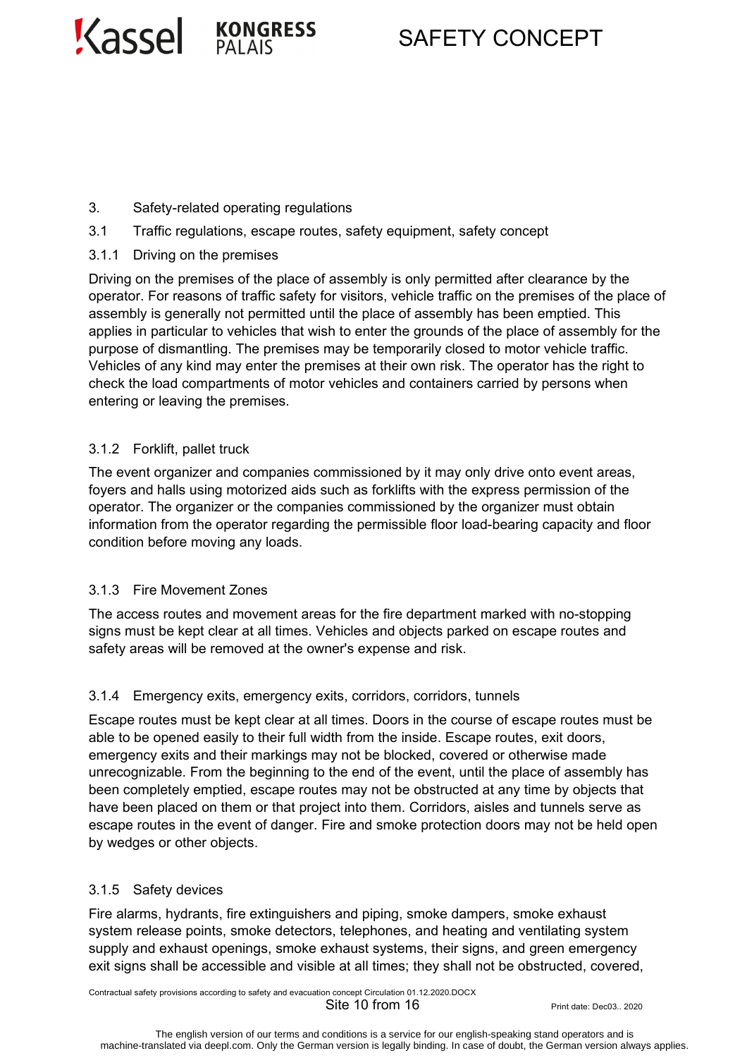

# SAFETY CONCEPT

- 3. Safety-related operating regulations
- 3.1 Traffic regulations, escape routes, safety equipment, safety concept
- 3.1.1 Driving on the premises

Driving on the premises of the place of assembly is only permitted after clearance by the operator. For reasons of traffic safety for visitors, vehicle traffic on the premises of the place of assembly is generally not permitted until the place of assembly has been emptied. This applies in particular to vehicles that wish to enter the grounds of the place of assembly for the purpose of dismantling. The premises may be temporarily closed to motor vehicle traffic. Vehicles of any kind may enter the premises at their own risk. The operator has the right to check the load compartments of motor vehicles and containers carried by persons when entering or leaving the premises.

### 3.1.2 Forklift, pallet truck

The event organizer and companies commissioned by it may only drive onto event areas, foyers and halls using motorized aids such as forklifts with the express permission of the operator. The organizer or the companies commissioned by the organizer must obtain information from the operator regarding the permissible floor load-bearing capacity and floor condition before moving any loads.

#### 3.1.3 Fire Movement Zones

The access routes and movement areas for the fire department marked with no-stopping signs must be kept clear at all times. Vehicles and objects parked on escape routes and safety areas will be removed at the owner's expense and risk.

#### 3.1.4 Emergency exits, emergency exits, corridors, corridors, tunnels

Escape routes must be kept clear at all times. Doors in the course of escape routes must be able to be opened easily to their full width from the inside. Escape routes, exit doors, emergency exits and their markings may not be blocked, covered or otherwise made unrecognizable. From the beginning to the end of the event, until the place of assembly has been completely emptied, escape routes may not be obstructed at any time by objects that have been placed on them or that project into them. Corridors, aisles and tunnels serve as escape routes in the event of danger. Fire and smoke protection doors may not be held open by wedges or other objects.

#### 3.1.5 Safety devices

Fire alarms, hydrants, fire extinguishers and piping, smoke dampers, smoke exhaust system release points, smoke detectors, telephones, and heating and ventilating system supply and exhaust openings, smoke exhaust systems, their signs, and green emergency exit signs shall be accessible and visible at all times; they shall not be obstructed, covered,

Contractual safety provisions according to safety and evacuation concept Circulation 01.12.2020.DOCX  $\text{Site } 10 \text{ from } 16$  Print date: Dec03.. 2020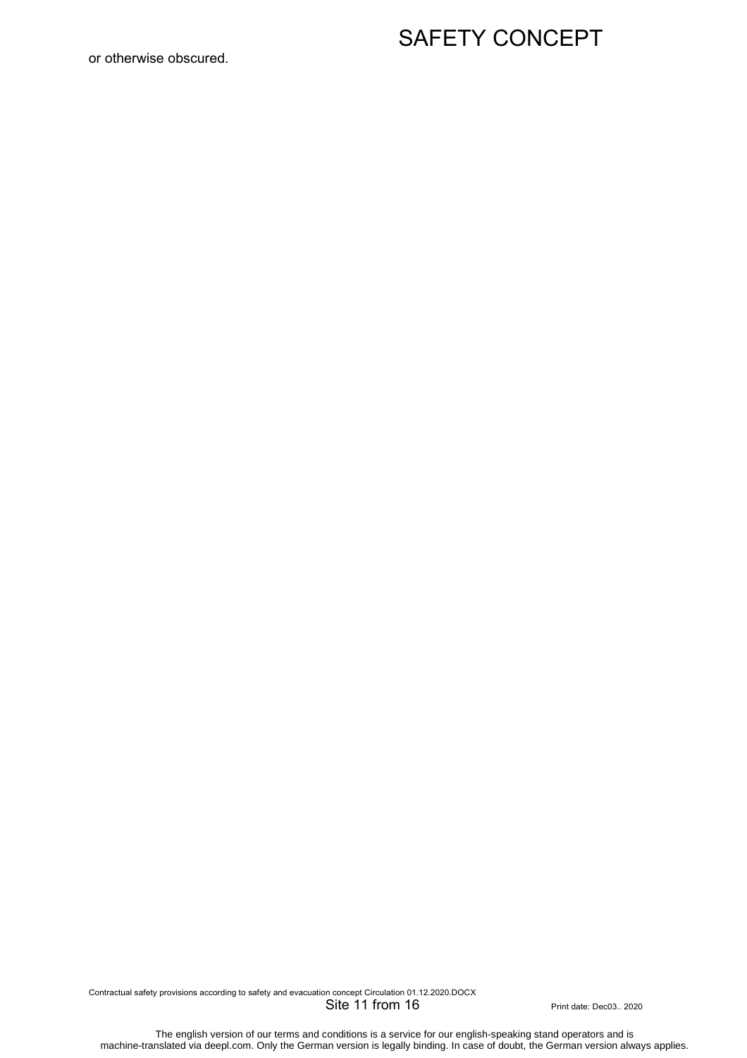#### or otherwise obscured.

## SAFETY CONCEPT

Contractual safety provisions according to safety and evacuation concept Circulation 01.12.2020.DOCX Site 11 from 16 Print date: Dec03.. 2020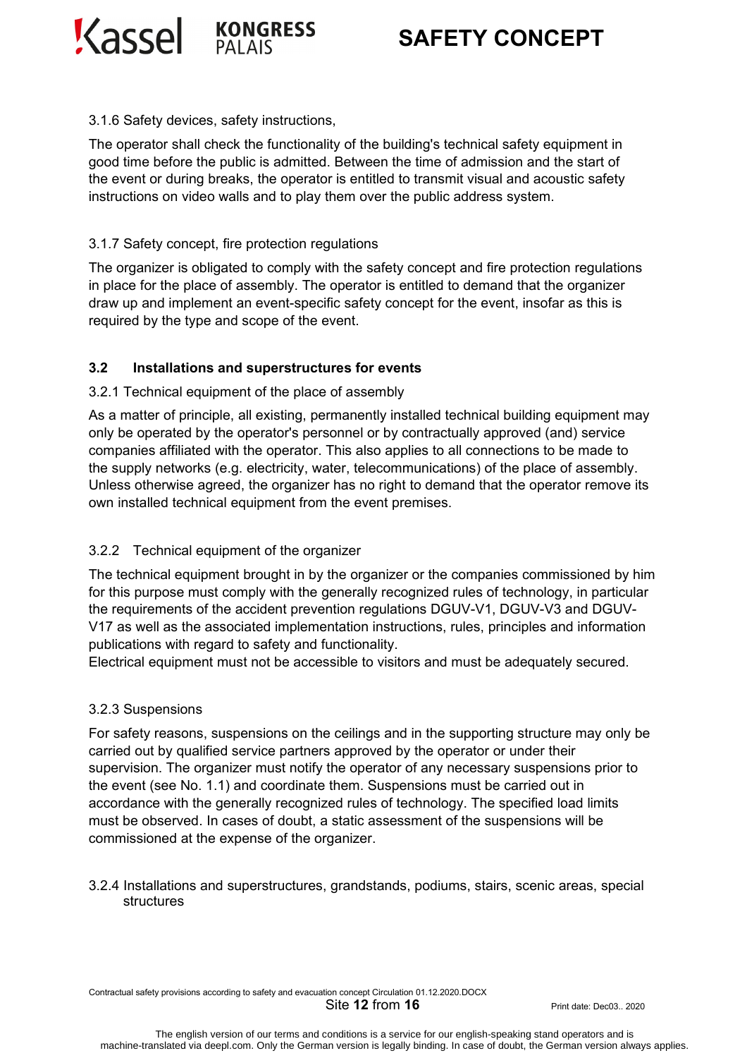Kassel **KONGRESS** 



#### 3.1.6 Safety devices, safety instructions,

The operator shall check the functionality of the building's technical safety equipment in good time before the public is admitted. Between the time of admission and the start of the event or during breaks, the operator is entitled to transmit visual and acoustic safety instructions on video walls and to play them over the public address system.

#### 3.1.7 Safety concept, fire protection regulations

The organizer is obligated to comply with the safety concept and fire protection regulations in place for the place of assembly. The operator is entitled to demand that the organizer draw up and implement an event-specific safety concept for the event, insofar as this is required by the type and scope of the event.

#### **3.2 Installations and superstructures for events**

#### 3.2.1 Technical equipment of the place of assembly

As a matter of principle, all existing, permanently installed technical building equipment may only be operated by the operator's personnel or by contractually approved (and) service companies affiliated with the operator. This also applies to all connections to be made to the supply networks (e.g. electricity, water, telecommunications) of the place of assembly. Unless otherwise agreed, the organizer has no right to demand that the operator remove its own installed technical equipment from the event premises.

#### 3.2.2 Technical equipment of the organizer

The technical equipment brought in by the organizer or the companies commissioned by him for this purpose must comply with the generally recognized rules of technology, in particular the requirements of the accident prevention regulations DGUV-V1, DGUV-V3 and DGUV-V17 as well as the associated implementation instructions, rules, principles and information publications with regard to safety and functionality.

Electrical equipment must not be accessible to visitors and must be adequately secured.

#### 3.2.3 Suspensions

For safety reasons, suspensions on the ceilings and in the supporting structure may only be carried out by qualified service partners approved by the operator or under their supervision. The organizer must notify the operator of any necessary suspensions prior to the event (see No. 1.1) and coordinate them. Suspensions must be carried out in accordance with the generally recognized rules of technology. The specified load limits must be observed. In cases of doubt, a static assessment of the suspensions will be commissioned at the expense of the organizer.

3.2.4 Installations and superstructures, grandstands, podiums, stairs, scenic areas, special structures

Contractual safety provisions according to safety and evacuation concept Circulation 01.12.2020.DOCX

**Site 12 from 16** Print date: Dec03.. 2020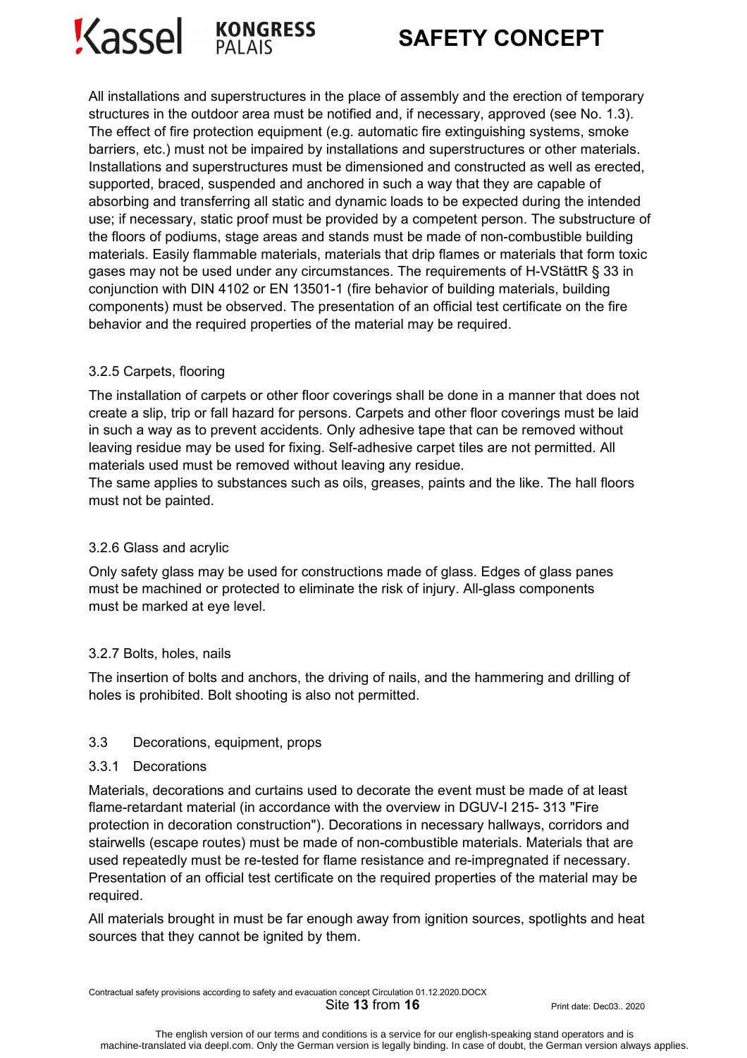



All installations and superstructures in the place of assembly and the erection of temporary structures in the outdoor area must be notified and, if necessary, approved (see No. 1.3). The effect of fire protection equipment (e.g. automatic fire extinguishing systems, smoke barriers, etc.) must not be impaired by installations and superstructures or other materials. Installations and superstructures must be dimensioned and constructed as well as erected, supported, braced, suspended and anchored in such a way that they are capable of absorbing and transferring all static and dynamic loads to be expected during the intended use; if necessary, static proof must be provided by a competent person. The substructure of the floors of podiums, stage areas and stands must be made of non-combustible building materials. Easily flammable materials, materials that drip flames or materials that form toxic gases may not be used under any circumstances. The requirements of H-VStättR § 33 in conjunction with DIN 4102 or EN 13501-1 (fire behavior of building materials, building components) must be observed. The presentation of an official test certificate on the fire behavior and the required properties of the material may be required.

#### 3.2.5 Carpets, flooring

The installation of carpets or other floor coverings shall be done in a manner that does not create a slip, trip or fall hazard for persons. Carpets and other floor coverings must be laid in such a way as to prevent accidents. Only adhesive tape that can be removed without leaving residue may be used for fixing. Self-adhesive carpet tiles are not permitted. All materials used must be removed without leaving any residue.

The same applies to substances such as oils, greases, paints and the like. The hall floors must not be painted.

#### 3.2.6 Glass and acrylic

Only safety glass may be used for constructions made of glass. Edges of glass panes must be machined or protected to eliminate the risk of injury. All-glass components must be marked at eye level.

### 3.2.7 Bolts, holes, nails

The insertion of bolts and anchors, the driving of nails, and the hammering and drilling of holes is prohibited. Bolt shooting is also not permitted.

#### 3.3 Decorations, equipment, props

#### 3.3.1 Decorations

Materials, decorations and curtains used to decorate the event must be made of at least flame-retardant material (in accordance with the overview in DGUV-I 215- 313 "Fire protection in decoration construction"). Decorations in necessary hallways, corridors and stairwells (escape routes) must be made of non-combustible materials. Materials that are used repeatedly must be re-tested for flame resistance and re-impregnated if necessary. Presentation of an official test certificate on the required properties of the material may be required.

All materials brought in must be far enough away from ignition sources, spotlights and heat sources that they cannot be ignited by them.

Contractual safety provisions according to safety and evacuation concept Circulation 01.12.2020.DOCX

**Site 13 from 16 Print date: Dec03.. 2020**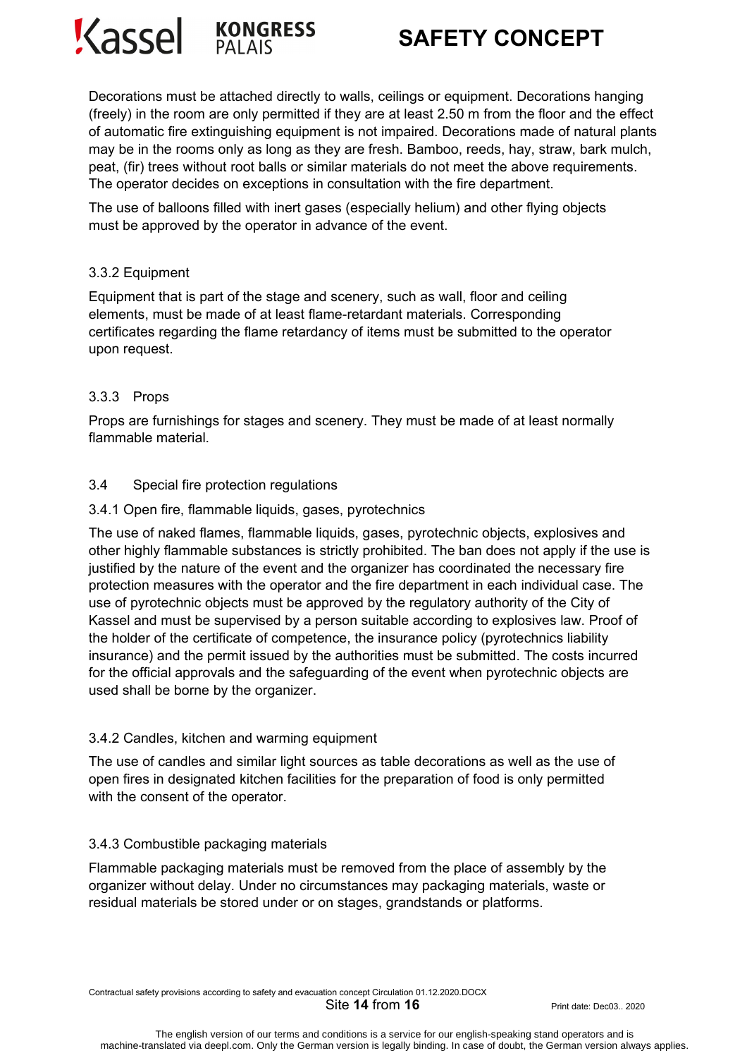



Decorations must be attached directly to walls, ceilings or equipment. Decorations hanging (freely) in the room are only permitted if they are at least 2.50 m from the floor and the effect of automatic fire extinguishing equipment is not impaired. Decorations made of natural plants may be in the rooms only as long as they are fresh. Bamboo, reeds, hay, straw, bark mulch, peat, (fir) trees without root balls or similar materials do not meet the above requirements. The operator decides on exceptions in consultation with the fire department.

The use of balloons filled with inert gases (especially helium) and other flying objects must be approved by the operator in advance of the event.

#### 3.3.2 Equipment

Equipment that is part of the stage and scenery, such as wall, floor and ceiling elements, must be made of at least flame-retardant materials. Corresponding certificates regarding the flame retardancy of items must be submitted to the operator upon request.

#### 3.3.3 Props

Props are furnishings for stages and scenery. They must be made of at least normally flammable material.

#### 3.4 Special fire protection regulations

#### 3.4.1 Open fire, flammable liquids, gases, pyrotechnics

The use of naked flames, flammable liquids, gases, pyrotechnic objects, explosives and other highly flammable substances is strictly prohibited. The ban does not apply if the use is justified by the nature of the event and the organizer has coordinated the necessary fire protection measures with the operator and the fire department in each individual case. The use of pyrotechnic objects must be approved by the regulatory authority of the City of Kassel and must be supervised by a person suitable according to explosives law. Proof of the holder of the certificate of competence, the insurance policy (pyrotechnics liability insurance) and the permit issued by the authorities must be submitted. The costs incurred for the official approvals and the safeguarding of the event when pyrotechnic objects are used shall be borne by the organizer.

#### 3.4.2 Candles, kitchen and warming equipment

The use of candles and similar light sources as table decorations as well as the use of open fires in designated kitchen facilities for the preparation of food is only permitted with the consent of the operator.

#### 3.4.3 Combustible packaging materials

Flammable packaging materials must be removed from the place of assembly by the organizer without delay. Under no circumstances may packaging materials, waste or residual materials be stored under or on stages, grandstands or platforms.

Contractual safety provisions according to safety and evacuation concept Circulation 01.12.2020.DOCX

**Site 14 from 16** Print date: Dec03.. 2020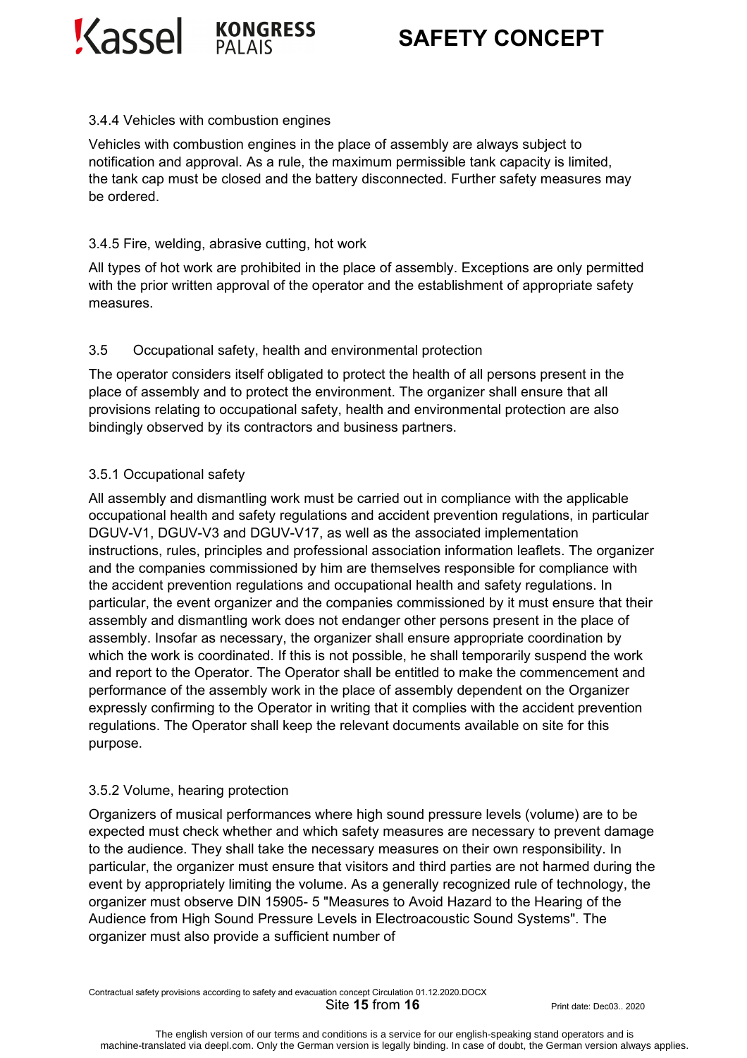Kassel Kongress



# **SAFETY CONCEPT**

#### 3.4.4 Vehicles with combustion engines

Vehicles with combustion engines in the place of assembly are always subject to notification and approval. As a rule, the maximum permissible tank capacity is limited, the tank cap must be closed and the battery disconnected. Further safety measures may be ordered.

#### 3.4.5 Fire, welding, abrasive cutting, hot work

All types of hot work are prohibited in the place of assembly. Exceptions are only permitted with the prior written approval of the operator and the establishment of appropriate safety measures.

#### 3.5 Occupational safety, health and environmental protection

The operator considers itself obligated to protect the health of all persons present in the place of assembly and to protect the environment. The organizer shall ensure that all provisions relating to occupational safety, health and environmental protection are also bindingly observed by its contractors and business partners.

### 3.5.1 Occupational safety

All assembly and dismantling work must be carried out in compliance with the applicable occupational health and safety regulations and accident prevention regulations, in particular DGUV-V1, DGUV-V3 and DGUV-V17, as well as the associated implementation instructions, rules, principles and professional association information leaflets. The organizer and the companies commissioned by him are themselves responsible for compliance with the accident prevention regulations and occupational health and safety regulations. In particular, the event organizer and the companies commissioned by it must ensure that their assembly and dismantling work does not endanger other persons present in the place of assembly. Insofar as necessary, the organizer shall ensure appropriate coordination by which the work is coordinated. If this is not possible, he shall temporarily suspend the work and report to the Operator. The Operator shall be entitled to make the commencement and performance of the assembly work in the place of assembly dependent on the Organizer expressly confirming to the Operator in writing that it complies with the accident prevention regulations. The Operator shall keep the relevant documents available on site for this purpose.

#### 3.5.2 Volume, hearing protection

Organizers of musical performances where high sound pressure levels (volume) are to be expected must check whether and which safety measures are necessary to prevent damage to the audience. They shall take the necessary measures on their own responsibility. In particular, the organizer must ensure that visitors and third parties are not harmed during the event by appropriately limiting the volume. As a generally recognized rule of technology, the organizer must observe DIN 15905- 5 "Measures to Avoid Hazard to the Hearing of the Audience from High Sound Pressure Levels in Electroacoustic Sound Systems". The organizer must also provide a sufficient number of

Contractual safety provisions according to safety and evacuation concept Circulation 01.12.2020.DOCX

**Site 15 from 16 Print date: Dec03.. 2020**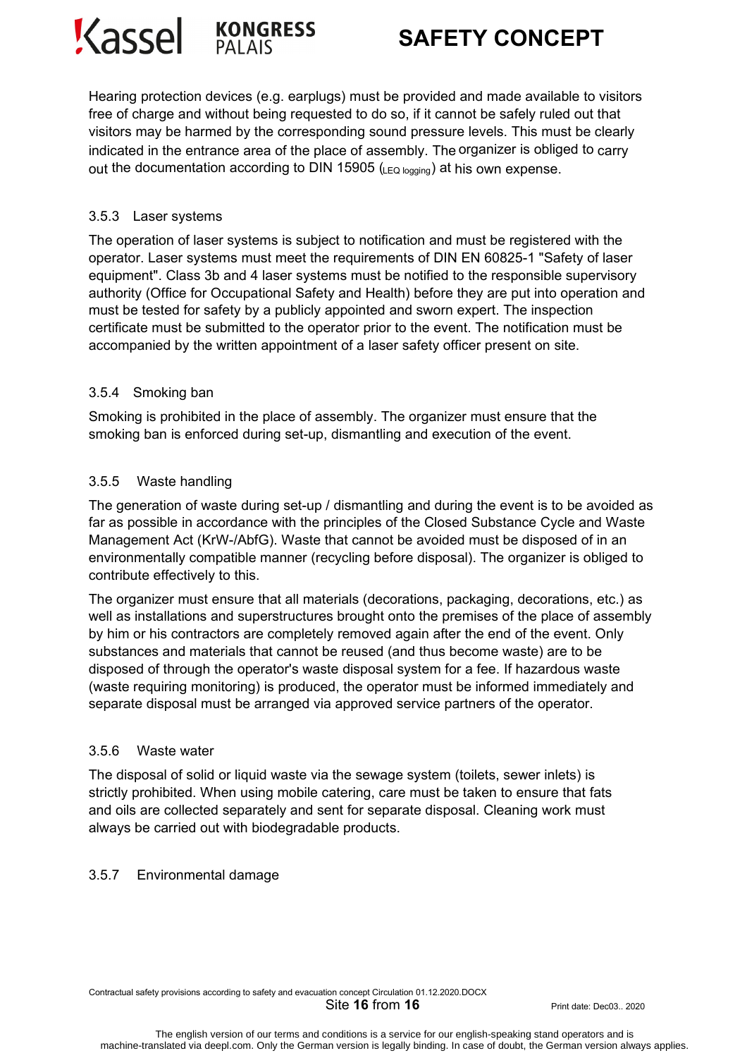



Hearing protection devices (e.g. earplugs) must be provided and made available to visitors free of charge and without being requested to do so, if it cannot be safely ruled out that visitors may be harmed by the corresponding sound pressure levels. This must be clearly indicated in the entrance area of the place of assembly. The organizer is obliged to carry out the documentation according to DIN 15905 (LEQ logging) at his own expense.

#### 3.5.3 Laser systems

The operation of laser systems is subject to notification and must be registered with the operator. Laser systems must meet the requirements of DIN EN 60825-1 "Safety of laser equipment". Class 3b and 4 laser systems must be notified to the responsible supervisory authority (Office for Occupational Safety and Health) before they are put into operation and must be tested for safety by a publicly appointed and sworn expert. The inspection certificate must be submitted to the operator prior to the event. The notification must be accompanied by the written appointment of a laser safety officer present on site.

#### 3.5.4 Smoking ban

Smoking is prohibited in the place of assembly. The organizer must ensure that the smoking ban is enforced during set-up, dismantling and execution of the event.

#### 3.5.5 Waste handling

The generation of waste during set-up / dismantling and during the event is to be avoided as far as possible in accordance with the principles of the Closed Substance Cycle and Waste Management Act (KrW-/AbfG). Waste that cannot be avoided must be disposed of in an environmentally compatible manner (recycling before disposal). The organizer is obliged to contribute effectively to this.

The organizer must ensure that all materials (decorations, packaging, decorations, etc.) as well as installations and superstructures brought onto the premises of the place of assembly by him or his contractors are completely removed again after the end of the event. Only substances and materials that cannot be reused (and thus become waste) are to be disposed of through the operator's waste disposal system for a fee. If hazardous waste (waste requiring monitoring) is produced, the operator must be informed immediately and separate disposal must be arranged via approved service partners of the operator.

#### 3.5.6 Waste water

The disposal of solid or liquid waste via the sewage system (toilets, sewer inlets) is strictly prohibited. When using mobile catering, care must be taken to ensure that fats and oils are collected separately and sent for separate disposal. Cleaning work must always be carried out with biodegradable products.

#### 3.5.7 Environmental damage

Contractual safety provisions according to safety and evacuation concept Circulation 01.12.2020.DOCX

**Site 16 from 16** Print date: Dec03.. 2020